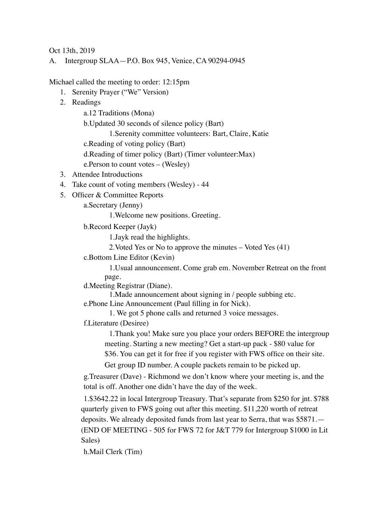Oct 13th, 2019

A. Intergroup SLAA—P.O. Box 945, Venice, CA 90294-0945

Michael called the meeting to order: 12:15pm

- 1. Serenity Prayer ("We" Version)
- 2. Readings

a.12 Traditions (Mona)

b.Updated 30 seconds of silence policy (Bart)

1.Serenity committee volunteers: Bart, Claire, Katie

c.Reading of voting policy (Bart)

d.Reading of timer policy (Bart) (Timer volunteer:Max)

e.Person to count votes – (Wesley)

- 3. Attendee Introductions
- 4. Take count of voting members (Wesley) 44
- 5. Officer & Committee Reports

a.Secretary (Jenny)

1.Welcome new positions. Greeting.

b.Record Keeper (Jayk)

1.Jayk read the highlights.

2.Voted Yes or No to approve the minutes – Voted Yes (41)

c.Bottom Line Editor (Kevin)

1.Usual announcement. Come grab em. November Retreat on the front page.

d.Meeting Registrar (Diane).

1.Made announcement about signing in / people subbing etc.

e.Phone Line Announcement (Paul filling in for Nick).

1. We got 5 phone calls and returned 3 voice messages.

f.Literature (Desiree)

1.Thank you! Make sure you place your orders BEFORE the intergroup meeting. Starting a new meeting? Get a start-up pack - \$80 value for \$36. You can get it for free if you register with FWS office on their site.

Get group ID number. A couple packets remain to be picked up.

g.Treasurer (Dave) - Richmond we don't know where your meeting is, and the total is off. Another one didn't have the day of the week.

1.\$3642.22 in local Intergroup Treasury. That's separate from \$250 for jnt. \$788 quarterly given to FWS going out after this meeting. \$11,220 worth of retreat deposits. We already deposited funds from last year to Serra, that was \$5871.— (END OF MEETING - 505 for FWS 72 for J&T 779 for Intergroup \$1000 in Lit Sales)

h.Mail Clerk (Tim)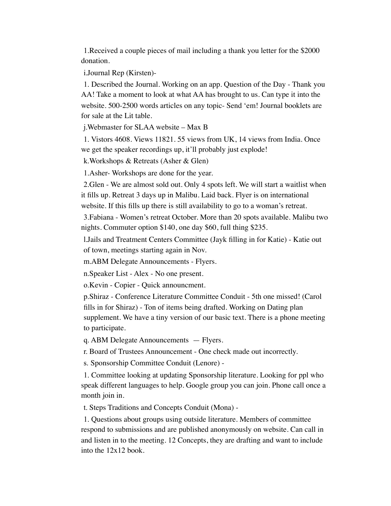1.Received a couple pieces of mail including a thank you letter for the \$2000 donation.

i.Journal Rep (Kirsten)-

1. Described the Journal. Working on an app. Question of the Day - Thank you AA! Take a moment to look at what AA has brought to us. Can type it into the website. 500-2500 words articles on any topic- Send 'em! Journal booklets are for sale at the Lit table.

j.Webmaster for SLAA website – Max B

1. Vistors 4608. Views 11821. 55 views from UK, 14 views from India. Once we get the speaker recordings up, it'll probably just explode!

k.Workshops & Retreats (Asher & Glen)

1.Asher- Workshops are done for the year.

2.Glen - We are almost sold out. Only 4 spots left. We will start a waitlist when it fills up. Retreat 3 days up in Malibu. Laid back. Flyer is on international website. If this fills up there is still availability to go to a woman's retreat.

3.Fabiana - Women's retreat October. More than 20 spots available. Malibu two nights. Commuter option \$140, one day \$60, full thing \$235.

l.Jails and Treatment Centers Committee (Jayk filling in for Katie) - Katie out of town, meetings starting again in Nov.

m.ABM Delegate Announcements - Flyers.

n.Speaker List - Alex - No one present.

o.Kevin - Copier - Quick announcment.

p.Shiraz - Conference Literature Committee Conduit - 5th one missed! (Carol fills in for Shiraz) - Ton of items being drafted. Working on Dating plan supplement. We have a tiny version of our basic text. There is a phone meeting to participate.

q. ABM Delegate Announcements — Flyers.

r. Board of Trustees Announcement - One check made out incorrectly.

s. Sponsorship Committee Conduit (Lenore) -

1. Committee looking at updating Sponsorship literature. Looking for ppl who speak different languages to help. Google group you can join. Phone call once a month join in.

t. Steps Traditions and Concepts Conduit (Mona) -

1. Questions about groups using outside literature. Members of committee respond to submissions and are published anonymously on website. Can call in and listen in to the meeting. 12 Concepts, they are drafting and want to include into the 12x12 book.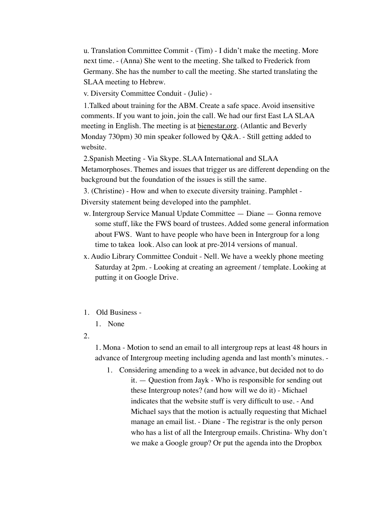u. Translation Committee Commit - (Tim) - I didn't make the meeting. More next time. - (Anna) She went to the meeting. She talked to Frederick from Germany. She has the number to call the meeting. She started translating the SLAA meeting to Hebrew.

v. Diversity Committee Conduit - (Julie) -

1.Talked about training for the ABM. Create a safe space. Avoid insensitive comments. If you want to join, join the call. We had our first East LA SLAA meeting in English. The meeting is at [bienestar.org.](http://bienestar.org) (Atlantic and Beverly Monday 730pm) 30 min speaker followed by Q&A. - Still getting added to website.

2.Spanish Meeting - Via Skype. SLAA International and SLAA

Metamorphoses. Themes and issues that trigger us are different depending on the background but the foundation of the issues is still the same.

3. (Christine) - How and when to execute diversity training. Pamphlet - Diversity statement being developed into the pamphlet.

- w. Intergroup Service Manual Update Committee Diane Gonna remove some stuff, like the FWS board of trustees. Added some general information about FWS. Want to have people who have been in Intergroup for a long time to takea look. Also can look at pre-2014 versions of manual.
- x. Audio Library Committee Conduit Nell. We have a weekly phone meeting Saturday at 2pm. - Looking at creating an agreement / template. Looking at putting it on Google Drive.

## 1. Old Business -

1. None

## 2.

1. Mona - Motion to send an email to all intergroup reps at least 48 hours in advance of Intergroup meeting including agenda and last month's minutes. -

1. Considering amending to a week in advance, but decided not to do it. — Question from Jayk - Who is responsible for sending out these Intergroup notes? (and how will we do it) - Michael indicates that the website stuff is very difficult to use. - And Michael says that the motion is actually requesting that Michael manage an email list. - Diane - The registrar is the only person who has a list of all the Intergroup emails. Christina- Why don't we make a Google group? Or put the agenda into the Dropbox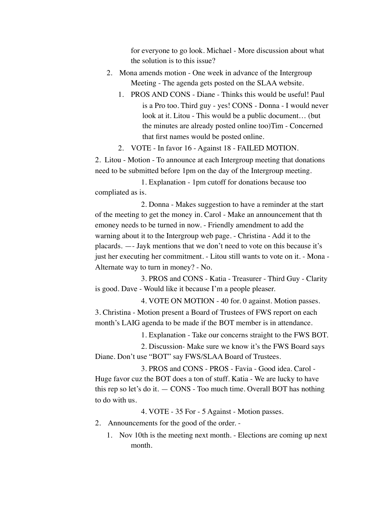for everyone to go look. Michael - More discussion about what the solution is to this issue?

- 2. Mona amends motion One week in advance of the Intergroup Meeting - The agenda gets posted on the SLAA website.
	- 1. PROS AND CONS Diane Thinks this would be useful! Paul is a Pro too. Third guy - yes! CONS - Donna - I would never look at it. Litou - This would be a public document… (but the minutes are already posted online too)Tim - Concerned that first names would be posted online.
	- 2. VOTE In favor 16 Against 18 FAILED MOTION.

2. Litou - Motion - To announce at each Intergroup meeting that donations need to be submitted before 1pm on the day of the Intergroup meeting.

1. Explanation - 1pm cutoff for donations because too compliated as is.

2. Donna - Makes suggestion to have a reminder at the start of the meeting to get the money in. Carol - Make an announcement that th emoney needs to be turned in now. - Friendly amendment to add the warning about it to the Intergroup web page. - Christina - Add it to the placards. —- Jayk mentions that we don't need to vote on this because it's just her executing her commitment. - Litou still wants to vote on it. - Mona - Alternate way to turn in money? - No.

3. PROS and CONS - Katia - Treasurer - Third Guy - Clarity is good. Dave - Would like it because I'm a people pleaser.

4. VOTE ON MOTION - 40 for. 0 against. Motion passes.

3. Christina - Motion present a Board of Trustees of FWS report on each month's LAIG agenda to be made if the BOT member is in attendance.

1. Explanation - Take our concerns straight to the FWS BOT.

2. Discussion- Make sure we know it's the FWS Board says Diane. Don't use "BOT" say FWS/SLAA Board of Trustees.

3. PROS and CONS - PROS - Favia - Good idea. Carol - Huge favor cuz the BOT does a ton of stuff. Katia - We are lucky to have this rep so let's do it. — CONS - Too much time. Overall BOT has nothing to do with us.

4. VOTE - 35 For - 5 Against - Motion passes.

2. Announcements for the good of the order. -

1. Nov 10th is the meeting next month. - Elections are coming up next month.